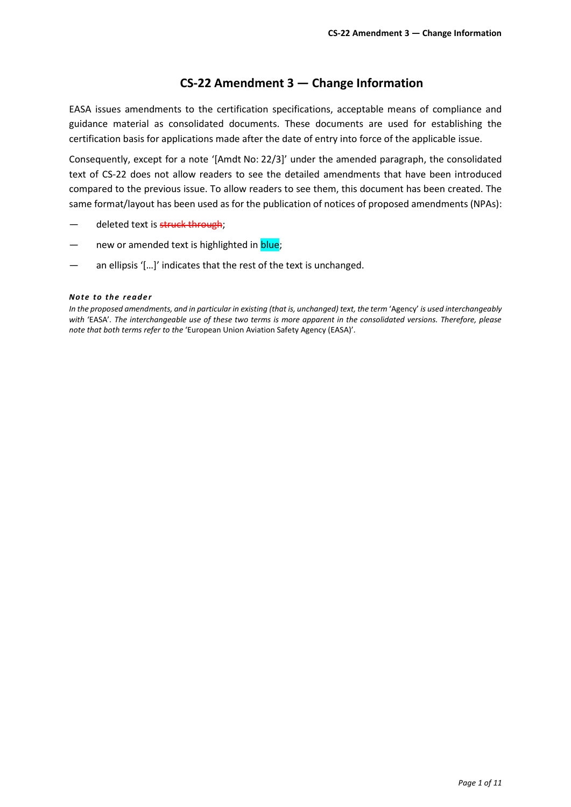#### **CS-22 Amendment 3 — Change Information**

EASA issues amendments to the certification specifications, acceptable means of compliance and guidance material as consolidated documents. These documents are used for establishing the certification basis for applications made after the date of entry into force of the applicable issue.

Consequently, except for a note '[Amdt No: 22/3]' under the amended paragraph, the consolidated text of CS-22 does not allow readers to see the detailed amendments that have been introduced compared to the previous issue. To allow readers to see them, this document has been created. The same format/layout has been used as for the publication of notices of proposed amendments (NPAs):

- deleted text is struck through;
- new or amended text is highlighted in **blue**;
- an ellipsis '[...]' indicates that the rest of the text is unchanged.

#### *Note to the reade r*

*In the proposed amendments, and in particular in existing (that is, unchanged) text, the term* 'Agency' *is used interchangeably with* 'EASA'*. The interchangeable use of these two terms is more apparent in the consolidated versions. Therefore, please note that both terms refer to the* 'European Union Aviation Safety Agency (EASA)'*.*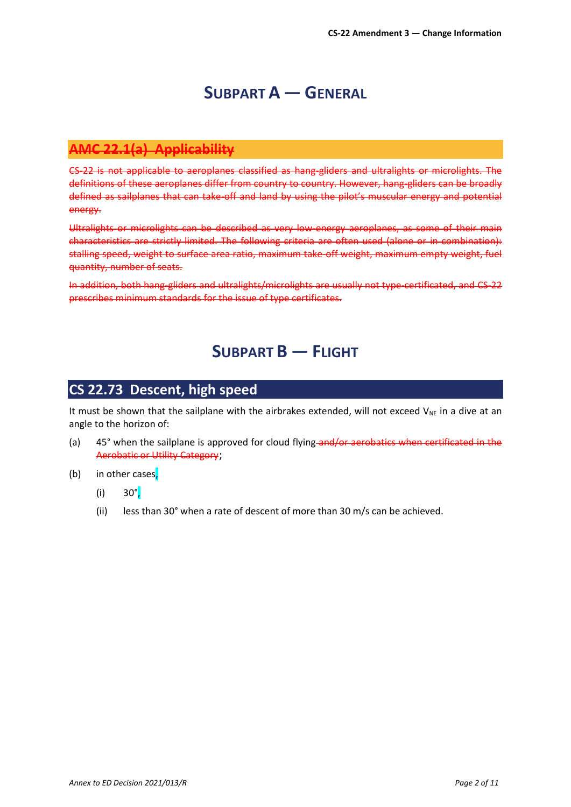## **SUBPART A — GENERAL**

#### **AMC 22.1(a) Applicability**

CS-22 is not applicable to aeroplanes classified as hang-gliders and ultralights or microlights. The definitions of these aeroplanes differ from country to country. However, hang-gliders can be broadly defined as sailplanes that can take-off and land by using the pilot's muscular energy and potential energy.

Ultralights or microlights can be described as very low-energy aeroplanes, as some of their main characteristics are strictly limited. The following criteria are often used (alone or in combination): stalling speed, weight to surface area ratio, maximum take-off weight, maximum empty weight, fuel quantity, number of seats.

In addition, both hang-gliders and ultralights/microlights are usually not type-certificated, and CS-22 prescribes minimum standards for the issue of type certificates.

## **SUBPART B — FLIGHT**

#### **CS 22.73 Descent, high speed**

It must be shown that the sailplane with the airbrakes extended, will not exceed  $V_{NE}$  in a dive at an angle to the horizon of:

- (a) 45° when the sailplane is approved for cloud flying-and/or aerobatics when certificated in the Aerobatic or Utility Category;
- (b) in other cases,
	- (i)  $30^{\circ}$ ,
	- (ii) less than 30 $^{\circ}$  when a rate of descent of more than 30 m/s can be achieved.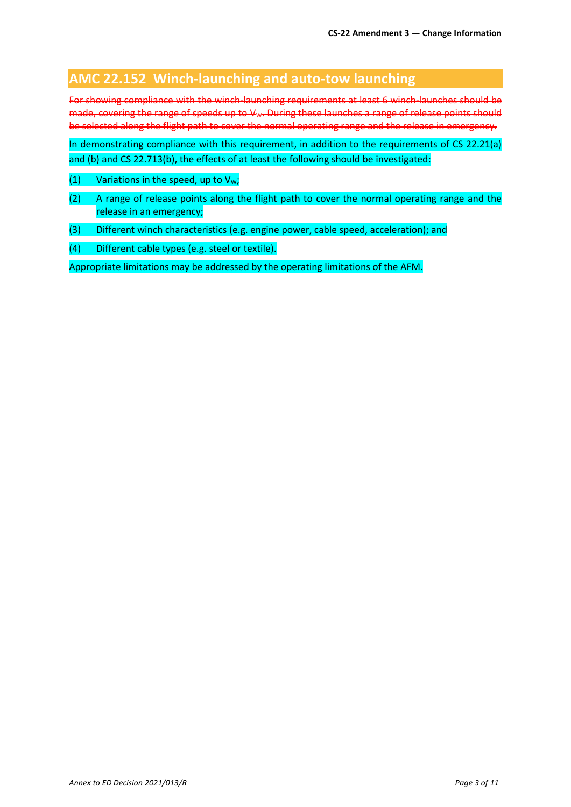### **AMC 22.152 Winch-launching and auto-tow launching**

For showing compliance with the winch-launching requirements at least 6 winch-launches should be made, covering the range of speeds up to V<sub>W</sub>. During these launches a range of release points should be selected along the flight path to cover the normal operating range and the release in emergency.

In demonstrating compliance with this requirement, in addition to the requirements of CS 22.21(a) and (b) and CS 22.713(b), the effects of at least the following should be investigated:

- (1) Variations in the speed, up to  $V_W$ ;
- (2) A range of release points along the flight path to cover the normal operating range and the release in an emergency;
- (3) Different winch characteristics (e.g. engine power, cable speed, acceleration); and
- (4) Different cable types (e.g. steel or textile).

Appropriate limitations may be addressed by the operating limitations of the AFM.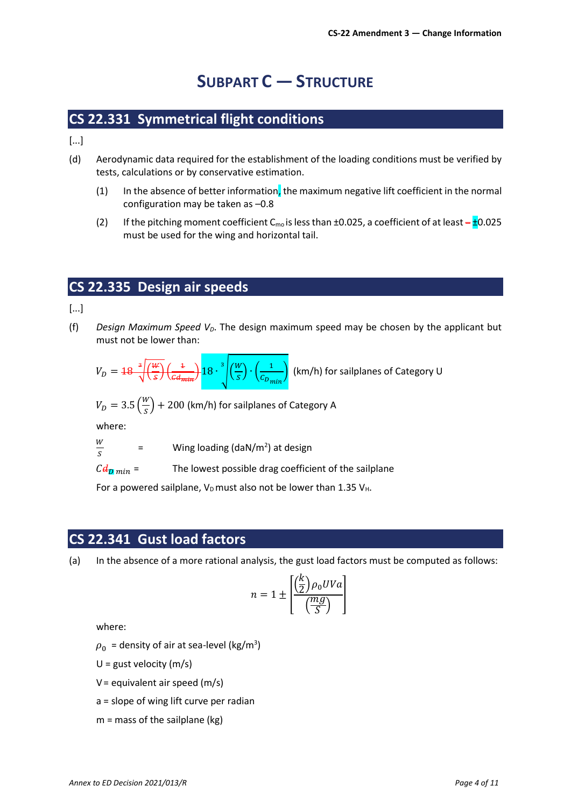# **SUBPART C — STRUCTURE**

### **CS 22.331 Symmetrical flight conditions**

[...]

- (d) Aerodynamic data required for the establishment of the loading conditions must be verified by tests, calculations or by conservative estimation.
	- (1) In the absence of better information, the maximum negative lift coefficient in the normal configuration may be taken as –0.8
	- (2) If the pitching moment coefficient C<sub>mo</sub> is less than  $\pm 0.025$ , a coefficient of at least  $-\frac{1}{2}0.025$ must be used for the wing and horizontal tail.

### **CS 22.335 Design air speeds**

[...]

(f) *Design Maximum Speed VD*. The design maximum speed may be chosen by the applicant but must not be lower than:

$$
V_D = 18 \sqrt[3]{\frac{W}{s}} \left(\frac{1}{c d_{\text{min}}} \right) 18 \cdot \sqrt[3]{\left(\frac{W}{s}\right) \cdot \left(\frac{1}{c_{D_{\text{min}}}}\right)} \text{ (b)}
$$

km/h) for sailplanes of Category U

$$
V_D = 3.5 \left(\frac{W}{S}\right) + 200
$$
 (km/h) for sailplanes of Category A

where:

$$
\frac{W}{S} =
$$
 Wing loading (daN/m<sup>2</sup>) at design

 $C d_{\text{D} min}$  = The lowest possible drag coefficient of the sailplane

For a powered sailplane,  $V_D$  must also not be lower than 1.35  $V_H$ .

#### **CS 22.341 Gust load factors**

(a) In the absence of a more rational analysis, the gust load factors must be computed as follows:

$$
n = 1 \pm \left[ \frac{\left(\frac{k}{2}\right)\rho_0 UVa}{\left(\frac{mg}{S}\right)} \right]
$$

where:

 $\rho_0\,$  = density of air at sea-level (kg/m $^3)$ 

 $U =$  gust velocity (m/s)

 $V =$  equivalent air speed (m/s)

a = slope of wing lift curve per radian

 $m =$  mass of the sailplane (kg)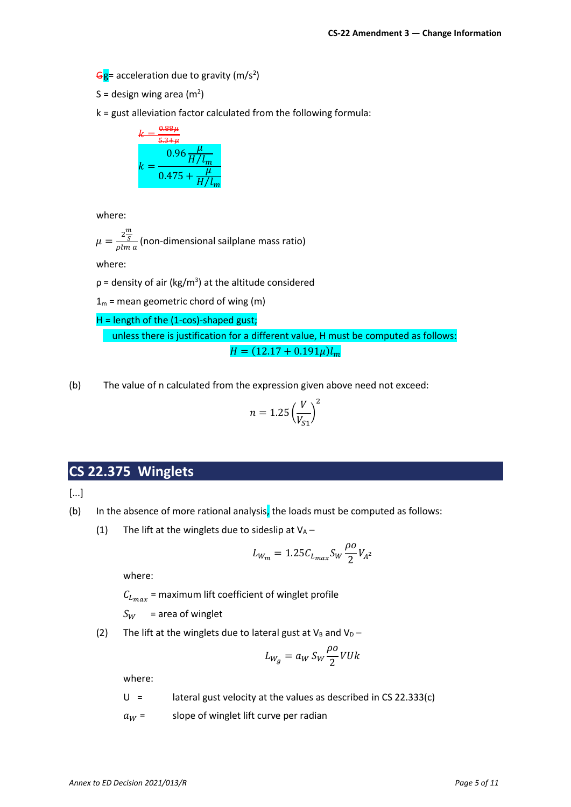Gg= acceleration due to gravity (m/s<sup>2</sup>)

S = design wing area (m<sup>2</sup>)

k = gust alleviation factor calculated from the following formula:

$$
k = \frac{0.88\mu}{5.3 + \mu}
$$
  

$$
k = \frac{0.96\frac{\mu}{H/l_m}}{0.475 + \frac{\mu}{H/l_m}}
$$

where:

$$
\mu = \frac{2\frac{m}{S}}{\rho \ln a}
$$
 (non-dimensional sailplane mass ratio)

where:

 $\rho$  = density of air (kg/m<sup>3</sup>) at the altitude considered

 $1_m$  = mean geometric chord of wing (m)

H = length of the (1-cos)-shaped gust; unless there is justification for a different value, H must be computed as follows:  $H = (12.17 + 0.191\mu)l_m$ 

(b) The value of n calculated from the expression given above need not exceed:

$$
n = 1.25 \left(\frac{V}{V_{S1}}\right)^2
$$

## **CS 22.375 Winglets**

[...]

- (b) In the absence of more rational analysis, the loads must be computed as follows:
	- (1) The lift at the winglets due to sideslip at  $V_A$  –

$$
L_{W_m} = 1.25 C_{L_{max}} S_W \frac{\rho o}{2} V_{A^2}
$$

where:

 $C_{L_{max}}$  = maximum lift coefficient of winglet profile

 $S_W$  = area of winglet

(2) The lift at the winglets due to lateral gust at  $V_B$  and  $V_D$  –

$$
L_{W_g} = a_W S_W \frac{\rho o}{2} VUk
$$

where:

 $U =$  lateral gust velocity at the values as described in CS 22.333(c)

 $a_W =$  slope of winglet lift curve per radian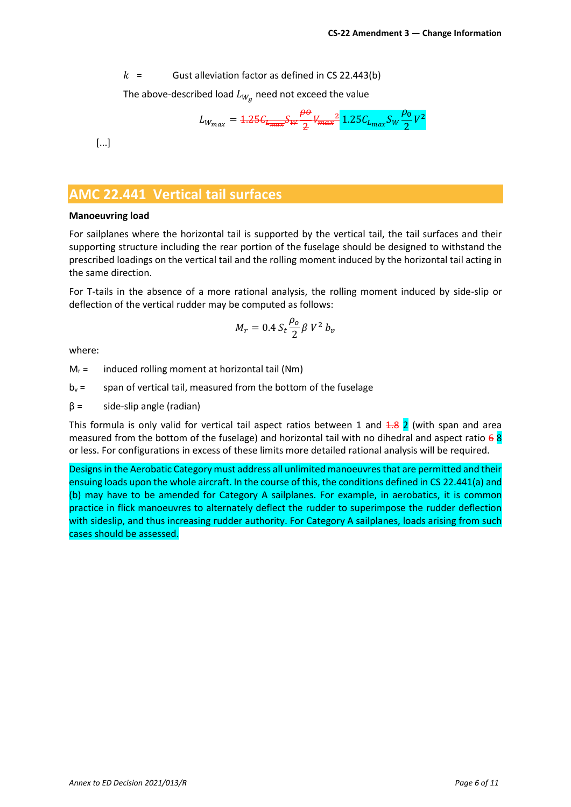$k =$  Gust alleviation factor as defined in CS 22.443(b)

The above-described load  $L_{W_{\mathcal{G}}}$  need not exceed the value

$$
L_{W_{max}} = 4.25 \epsilon_{L_{max}} S_W \frac{\rho \sigma}{2} V_{max}^2 \frac{1.25 C_{L_{max}} S_W \frac{\rho_0}{2} V^2}{2}
$$

[...]

#### **AMC 22.441 Vertical tail surfaces**

#### **Manoeuvring load**

For sailplanes where the horizontal tail is supported by the vertical tail, the tail surfaces and their supporting structure including the rear portion of the fuselage should be designed to withstand the prescribed loadings on the vertical tail and the rolling moment induced by the horizontal tail acting in the same direction.

For T-tails in the absence of a more rational analysis, the rolling moment induced by side-slip or deflection of the vertical rudder may be computed as follows:

$$
M_r = 0.4 \, S_t \frac{\rho_o}{2} \beta \, V^2 \, b_v
$$

where:

 $M_r$  = induced rolling moment at horizontal tail (Nm)

 $b_v$  = span of vertical tail, measured from the bottom of the fuselage

 $\beta$  = side-slip angle (radian)

This formula is only valid for vertical tail aspect ratios between 1 and  $4.8$  2 (with span and area measured from the bottom of the fuselage) and horizontal tail with no dihedral and aspect ratio  $68$ or less. For configurations in excess of these limits more detailed rational analysis will be required.

Designs in the Aerobatic Category must address all unlimited manoeuvres that are permitted and their ensuing loads upon the whole aircraft. In the course of this, the conditions defined in CS 22.441(a) and (b) may have to be amended for Category A sailplanes. For example, in aerobatics, it is common practice in flick manoeuvres to alternately deflect the rudder to superimpose the rudder deflection with sideslip, and thus increasing rudder authority. For Category A sailplanes, loads arising from such cases should be assessed.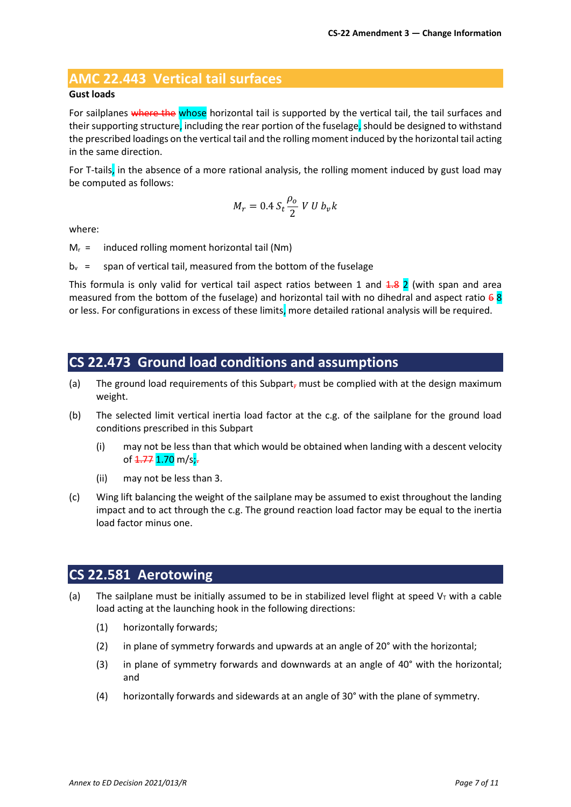### **AMC 22.443 Vertical tail surfaces**

#### **Gust loads**

For sailplanes where the whose horizontal tail is supported by the vertical tail, the tail surfaces and their supporting structure, including the rear portion of the fuselage, should be designed to withstand the prescribed loadings on the vertical tail and the rolling moment induced by the horizontal tail acting in the same direction.

For T-tails, in the absence of a more rational analysis, the rolling moment induced by gust load may be computed as follows:

$$
M_r=0.4\,S_t\frac{\rho_o}{2}\,V\,U\,b_v k
$$

where:

 $M_r =$  induced rolling moment horizontal tail (Nm)

 $b_v$  = span of vertical tail, measured from the bottom of the fuselage

This formula is only valid for vertical tail aspect ratios between 1 and  $\frac{1}{8}$  2 (with span and area measured from the bottom of the fuselage) and horizontal tail with no dihedral and aspect ratio  $68$ or less. For configurations in excess of these limits, more detailed rational analysis will be required.

#### **CS 22.473 Ground load conditions and assumptions**

- (a) The ground load requirements of this Subpart<sub>r</sub> must be complied with at the design maximum weight.
- (b) The selected limit vertical inertia load factor at the c.g. of the sailplane for the ground load conditions prescribed in this Subpart
	- (i) may not be less than that which would be obtained when landing with a descent velocity of <del>1.77</del> 1.70 m/s;-
	- (ii) may not be less than 3.
- (c) Wing lift balancing the weight of the sailplane may be assumed to exist throughout the landing impact and to act through the c.g. The ground reaction load factor may be equal to the inertia load factor minus one.

#### <span id="page-6-0"></span>**CS 22.581 Aerotowing**

- (a) The sailplane must be initially assumed to be in stabilized level flight at speed  $V<sub>T</sub>$  with a cable load acting at the launching hook in the following directions:
	- (1) horizontally forwards;
	- (2) in plane of symmetry forwards and upwards at an angle of 20° with the horizontal;
	- (3) in plane of symmetry forwards and downwards at an angle of 40° with the horizontal; and
	- (4) horizontally forwards and sidewards at an angle of 30° with the plane of symmetry.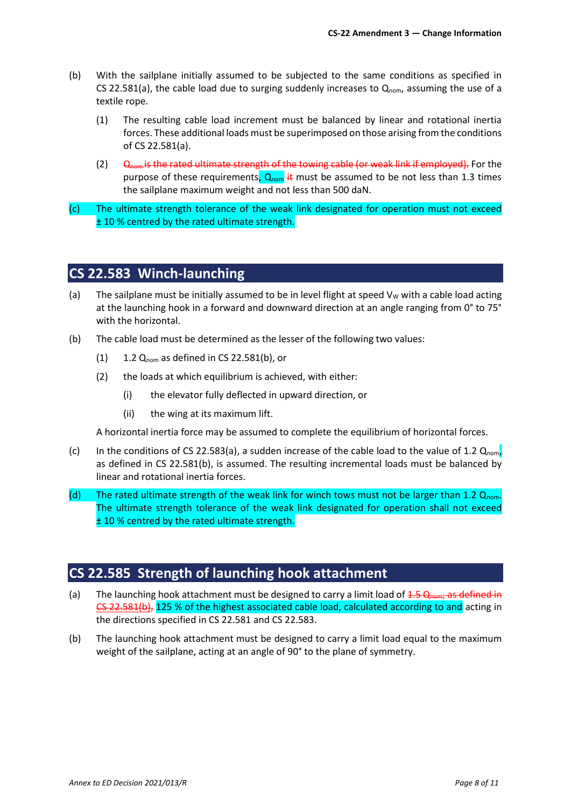- (b) With the sailplane initially assumed to be subjected to the same conditions as specified in CS 22.581(a), the cable load due to surging suddenly increases to  $Q_{nom}$ , assuming the use of a textile rope.
	- (1) The resulting cable load increment must be balanced by linear and rotational inertia forces. These additional loads must be superimposed on those arising from the conditions of CS 22.581(a).
	- (2)  $\Theta_{\text{nom}}$  is the rated ultimate strength of the towing cable (or weak link if employed). For the purpose of these requirements,  $Q_{nom}$  it must be assumed to be not less than 1.3 times the sailplane maximum weight and not less than 500 daN.
- (c) The ultimate strength tolerance of the weak link designated for operation must not exceed ± 10 % centred by the rated ultimate strength.

### **CS 22.583 Winch-launching**

- (a) The sailplane must be initially assumed to be in level flight at speed  $V_W$  with a cable load acting at the launching hook in a forward and downward direction at an angle ranging from 0° to 75° with the horizontal.
- (b) The cable load must be determined as the lesser of the following two values:
	- $(1)$  1.2  $Q_{\text{nom}}$  as defined in CS 22.581(b), or
	- (2) the loads at which equilibrium is achieved, with either:
		- (i) the elevator fully deflected in upward direction, or
		- (ii) the wing at its maximum lift.

A horizontal inertia force may be assumed to complete the equilibrium of horizontal forces.

- (c) In the conditions of CS 22.583(a), a sudden increase of the cable load to the value of 1.2  $Q_{\text{nom}}$ , as defined in CS 22.581(b), is assumed. The resulting incremental loads must be balanced by linear and rotational inertia forces.
- (d) The rated ultimate strength of the weak link for winch tows must not be larger than 1.2  $Q_{\text{nom}}$ . The ultimate strength tolerance of the weak link designated for operation shall not exceed ± 10 % centred by the rated ultimate strength.

## **CS 22.585 Strength of launching hook attachment**

- (a) The launching hook attachment must be designed to carry a limit load of  $4.5 \Omega_{\text{nom}}$ , as defined in [CS 22.581\(b\),](#page-6-0) 125 % of the highest associated cable load, calculated according to and acting in the directions specified in CS 22.581 and CS 22.583.
- (b) The launching hook attachment must be designed to carry a limit load equal to the maximum weight of the sailplane, acting at an angle of 90° to the plane of symmetry.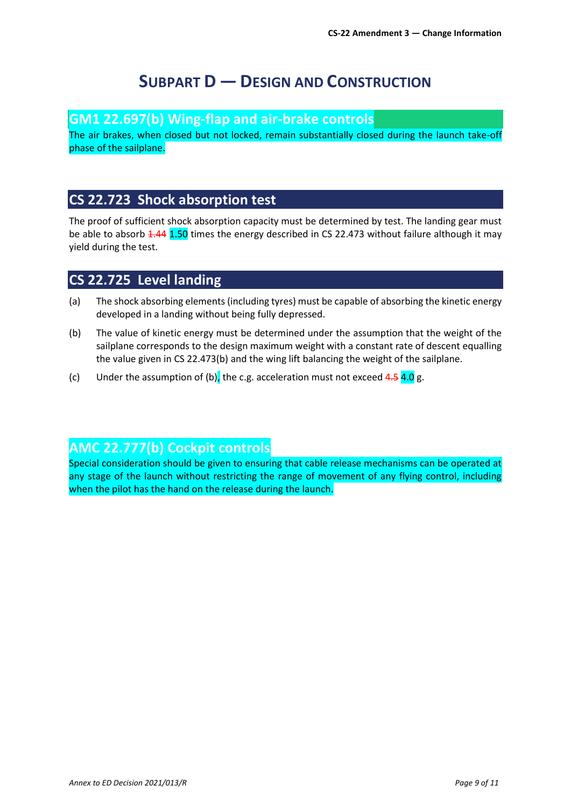# **SUBPART D — DESIGN AND CONSTRUCTION**

#### **GM1 22.697(b) Wing-flap and air-brake controls**

The air brakes, when closed but not locked, remain substantially closed during the launch take-off phase of the sailplane.

### **CS 22.723 Shock absorption test**

The proof of sufficient shock absorption capacity must be determined by test. The landing gear must be able to absorb 1.44 1.50 times the energy described in CS 22.473 without failure although it may yield during the test.

### **CS 22.725 Level landing**

- (a) The shock absorbing elements (including tyres) must be capable of absorbing the kinetic energy developed in a landing without being fully depressed.
- (b) The value of kinetic energy must be determined under the assumption that the weight of the sailplane corresponds to the design maximum weight with a constant rate of descent equalling the value given in CS 22.473(b) and the wing lift balancing the weight of the sailplane.
- (c) Under the assumption of (b), the c.g. acceleration must not exceed  $4.5$  4.0 g.

## **AMC 22.777(b) Cockpit controls**

Special consideration should be given to ensuring that cable release mechanisms can be operated at any stage of the launch without restricting the range of movement of any flying control, including when the pilot has the hand on the release during the launch.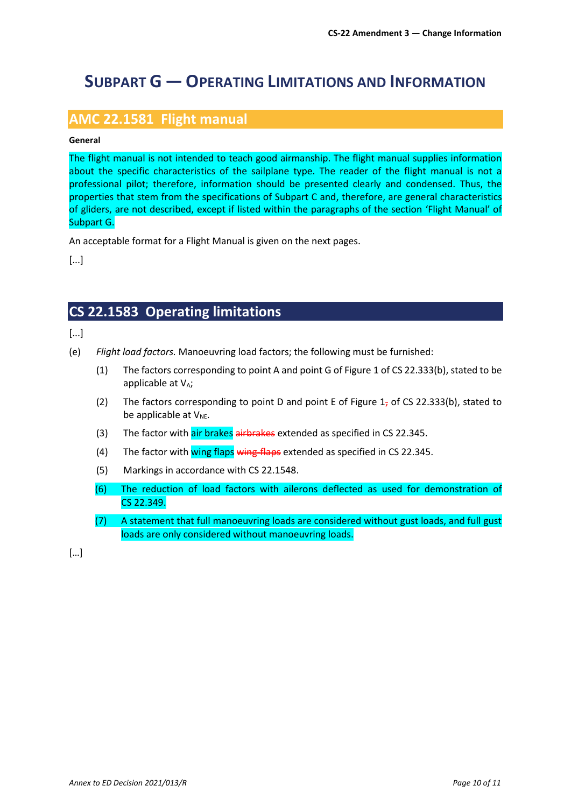# **SUBPART G — OPERATING LIMITATIONS AND INFORMATION**

### **AMC 22.1581 Flight manual**

#### **General**

The flight manual is not intended to teach good airmanship. The flight manual supplies information about the specific characteristics of the sailplane type. The reader of the flight manual is not a professional pilot; therefore, information should be presented clearly and condensed. Thus, the properties that stem from the specifications of Subpart C and, therefore, are general characteristics of gliders, are not described, except if listed within the paragraphs of the section 'Flight Manual' of Subpart G.

An acceptable format for a Flight Manual is given on the next pages.

[...]

## **CS 22.1583 Operating limitations**

[...]

- (e) *Flight load factors.* Manoeuvring load factors; the following must be furnished:
	- (1) The factors corresponding to point A and point G of Figure 1 of CS 22.333(b), stated to be applicable at  $V_A$ ;
	- (2) The factors corresponding to point D and point E of Figure  $1<sub>7</sub>$  of CS 22.333(b), stated to be applicable at  $V_{NE}$ .
	- (3) The factor with air brakes airbrakes extended as specified in CS 22.345.
	- (4) The factor with wing flaps wing-flaps extended as specified in CS 22.345.
	- (5) Markings in accordance with CS 22.1548.
	- (6) The reduction of load factors with ailerons deflected as used for demonstration of CS 22.349.
	- (7) A statement that full manoeuvring loads are considered without gust loads, and full gust loads are only considered without manoeuvring loads.

[…]